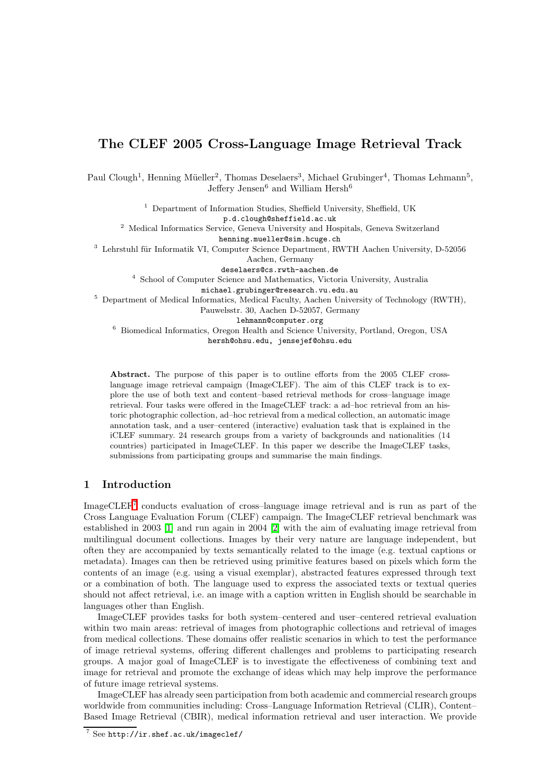# The CLEF 2005 Cross-Language Image Retrieval Track

Paul Clough<sup>1</sup>, Henning Müeller<sup>2</sup>, Thomas Deselaers<sup>3</sup>, Michael Grubinger<sup>4</sup>, Thomas Lehmann<sup>5</sup>, Jeffery Jensen<sup>6</sup> and William Hersh<sup>6</sup>

<sup>1</sup> Department of Information Studies, Sheffield University, Sheffield, UK

p.d.clough@sheffield.ac.uk

<sup>2</sup> Medical Informatics Service, Geneva University and Hospitals, Geneva Switzerland

henning.mueller@sim.hcuge.ch

 $^3\,$  Lehrstuhl für Informatik VI, Computer Science Department, RWTH Aachen University, D-52056 Aachen, Germany

deselaers@cs.rwth-aachen.de

<sup>4</sup> School of Computer Science and Mathematics, Victoria University, Australia

michael.grubinger@research.vu.edu.au

 $5$  Department of Medical Informatics, Medical Faculty, Aachen University of Technology (RWTH), Pauwelsstr. 30, Aachen D-52057, Germany

lehmann@computer.org

<sup>6</sup> Biomedical Informatics, Oregon Health and Science University, Portland, Oregon, USA hersh@ohsu.edu, jensejef@ohsu.edu

Abstract. The purpose of this paper is to outline efforts from the 2005 CLEF crosslanguage image retrieval campaign (ImageCLEF). The aim of this CLEF track is to explore the use of both text and content–based retrieval methods for cross–language image retrieval. Four tasks were offered in the ImageCLEF track: a ad–hoc retrieval from an historic photographic collection, ad–hoc retrieval from a medical collection, an automatic image annotation task, and a user–centered (interactive) evaluation task that is explained in the iCLEF summary. 24 research groups from a variety of backgrounds and nationalities (14 countries) participated in ImageCLEF. In this paper we describe the ImageCLEF tasks, submissions from participating groups and summarise the main findings.

# 1 Introduction

ImageCLEF<sup>[7](#page-0-0)</sup> conducts evaluation of cross-language image retrieval and is run as part of the Cross Language Evaluation Forum (CLEF) campaign. The ImageCLEF retrieval benchmark was established in 2003 [\[1\]](#page-19-0) and run again in 2004 [\[2\]](#page-19-1) with the aim of evaluating image retrieval from multilingual document collections. Images by their very nature are language independent, but often they are accompanied by texts semantically related to the image (e.g. textual captions or metadata). Images can then be retrieved using primitive features based on pixels which form the contents of an image (e.g. using a visual exemplar), abstracted features expressed through text or a combination of both. The language used to express the associated texts or textual queries should not affect retrieval, i.e. an image with a caption written in English should be searchable in languages other than English.

ImageCLEF provides tasks for both system–centered and user–centered retrieval evaluation within two main areas: retrieval of images from photographic collections and retrieval of images from medical collections. These domains offer realistic scenarios in which to test the performance of image retrieval systems, offering different challenges and problems to participating research groups. A major goal of ImageCLEF is to investigate the effectiveness of combining text and image for retrieval and promote the exchange of ideas which may help improve the performance of future image retrieval systems.

ImageCLEF has already seen participation from both academic and commercial research groups worldwide from communities including: Cross–Language Information Retrieval (CLIR), Content– Based Image Retrieval (CBIR), medical information retrieval and user interaction. We provide

<span id="page-0-0"></span><sup>7</sup> See http://ir.shef.ac.uk/imageclef/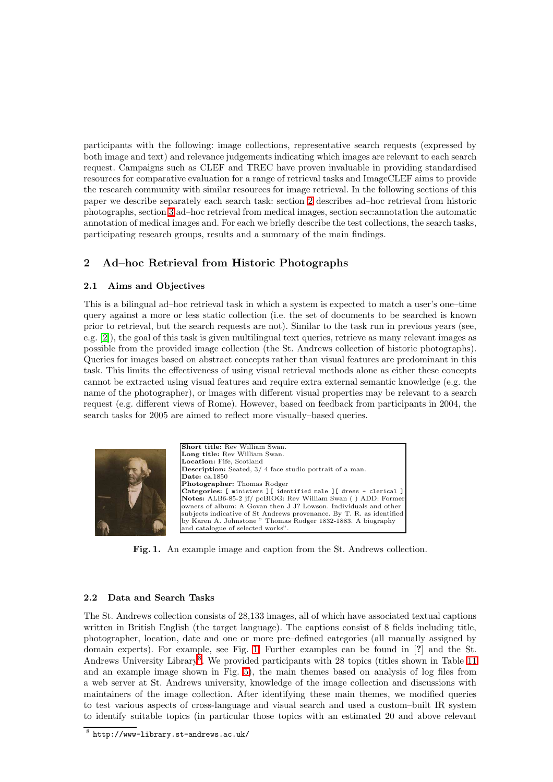participants with the following: image collections, representative search requests (expressed by both image and text) and relevance judgements indicating which images are relevant to each search request. Campaigns such as CLEF and TREC have proven invaluable in providing standardised resources for comparative evaluation for a range of retrieval tasks and ImageCLEF aims to provide the research community with similar resources for image retrieval. In the following sections of this paper we describe separately each search task: section [2](#page-1-0) describes ad–hoc retrieval from historic photographs, section [3](#page-7-0) ad–hoc retrieval from medical images, section sec:annotation the automatic annotation of medical images and. For each we briefly describe the test collections, the search tasks, participating research groups, results and a summary of the main findings.

# <span id="page-1-0"></span>2 Ad–hoc Retrieval from Historic Photographs

## 2.1 Aims and Objectives

This is a bilingual ad–hoc retrieval task in which a system is expected to match a user's one–time query against a more or less static collection (i.e. the set of documents to be searched is known prior to retrieval, but the search requests are not). Similar to the task run in previous years (see, e.g. [\[2\]](#page-19-1)), the goal of this task is given multilingual text queries, retrieve as many relevant images as possible from the provided image collection (the St. Andrews collection of historic photographs). Queries for images based on abstract concepts rather than visual features are predominant in this task. This limits the effectiveness of using visual retrieval methods alone as either these concepts cannot be extracted using visual features and require extra external semantic knowledge (e.g. the name of the photographer), or images with different visual properties may be relevant to a search request (e.g. different views of Rome). However, based on feedback from participants in 2004, the search tasks for 2005 are aimed to reflect more visually–based queries.



Fig. 1. An example image and caption from the St. Andrews collection.

## <span id="page-1-1"></span>2.2 Data and Search Tasks

The St. Andrews collection consists of 28,133 images, all of which have associated textual captions written in British English (the target language). The captions consist of 8 fields including title, photographer, location, date and one or more pre–defined categories (all manually assigned by domain experts). For example, see Fig. [1.](#page-1-1) Further examples can be found in [?] and the St. Andrews University Library<sup>[8](#page-1-2)</sup>. We provided participants with 28 topics (titles shown in Table [11](#page-20-0) and an example image shown in Fig. [5\)](#page-21-0), the main themes based on analysis of log files from a web server at St. Andrews university, knowledge of the image collection and discussions with maintainers of the image collection. After identifying these main themes, we modified queries to test various aspects of cross-language and visual search and used a custom–built IR system to identify suitable topics (in particular those topics with an estimated 20 and above relevant

<span id="page-1-2"></span> $^8$  http://www-library.st-andrews.ac.uk/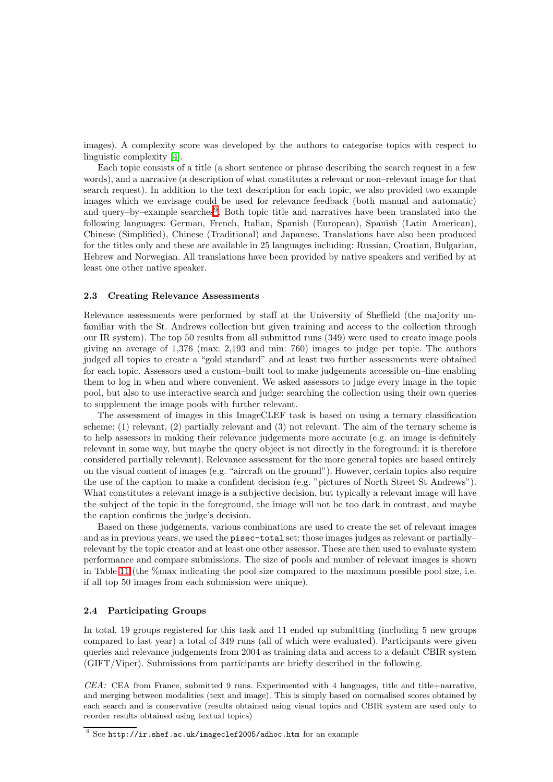images). A complexity score was developed by the authors to categorise topics with respect to linguistic complexity [\[4\]](#page-19-2).

Each topic consists of a title (a short sentence or phrase describing the search request in a few words), and a narrative (a description of what constitutes a relevant or non–relevant image for that search request). In addition to the text description for each topic, we also provided two example images which we envisage could be used for relevance feedback (both manual and automatic) and query–by–example searches<sup>[9](#page-2-0)</sup>. Both topic title and narratives have been translated into the following languages: German, French, Italian, Spanish (European), Spanish (Latin American), Chinese (Simplified), Chinese (Traditional) and Japanese. Translations have also been produced for the titles only and these are available in 25 languages including: Russian, Croatian, Bulgarian, Hebrew and Norwegian. All translations have been provided by native speakers and verified by at least one other native speaker.

#### 2.3 Creating Relevance Assessments

Relevance assessments were performed by staff at the University of Sheffield (the majority unfamiliar with the St. Andrews collection but given training and access to the collection through our IR system). The top 50 results from all submitted runs (349) were used to create image pools giving an average of 1,376 (max: 2,193 and min: 760) images to judge per topic. The authors judged all topics to create a "gold standard" and at least two further assessments were obtained for each topic. Assessors used a custom–built tool to make judgements accessible on–line enabling them to log in when and where convenient. We asked assessors to judge every image in the topic pool, but also to use interactive search and judge: searching the collection using their own queries to supplement the image pools with further relevant.

The assessment of images in this ImageCLEF task is based on using a ternary classification scheme: (1) relevant, (2) partially relevant and (3) not relevant. The aim of the ternary scheme is to help assessors in making their relevance judgements more accurate (e.g. an image is definitely relevant in some way, but maybe the query object is not directly in the foreground: it is therefore considered partially relevant). Relevance assessment for the more general topics are based entirely on the visual content of images (e.g. "aircraft on the ground"). However, certain topics also require the use of the caption to make a confident decision (e.g. "pictures of North Street St Andrews"). What constitutes a relevant image is a subjective decision, but typically a relevant image will have the subject of the topic in the foreground, the image will not be too dark in contrast, and maybe the caption confirms the judge's decision.

Based on these judgements, various combinations are used to create the set of relevant images and as in previous years, we used the pisec-total set: those images judges as relevant or partially– relevant by the topic creator and at least one other assessor. These are then used to evaluate system performance and compare submissions. The size of pools and number of relevant images is shown in Table [11](#page-20-0) (the %max indicating the pool size compared to the maximum possible pool size, i.e. if all top 50 images from each submission were unique).

#### 2.4 Participating Groups

In total, 19 groups registered for this task and 11 ended up submitting (including 5 new groups compared to last year) a total of 349 runs (all of which were evaluated). Participants were given queries and relevance judgements from 2004 as training data and access to a default CBIR system (GIFT/Viper). Submissions from participants are briefly described in the following.

 $CEA$ : CEA from France, submitted 9 runs. Experimented with 4 languages, title and title+narrative, and merging between modalities (text and image). This is simply based on normalised scores obtained by each search and is conservative (results obtained using visual topics and CBIR system are used only to reorder results obtained using textual topics)

<span id="page-2-0"></span> $\frac{9}{9}$  See http://ir.shef.ac.uk/imageclef2005/adhoc.htm for an example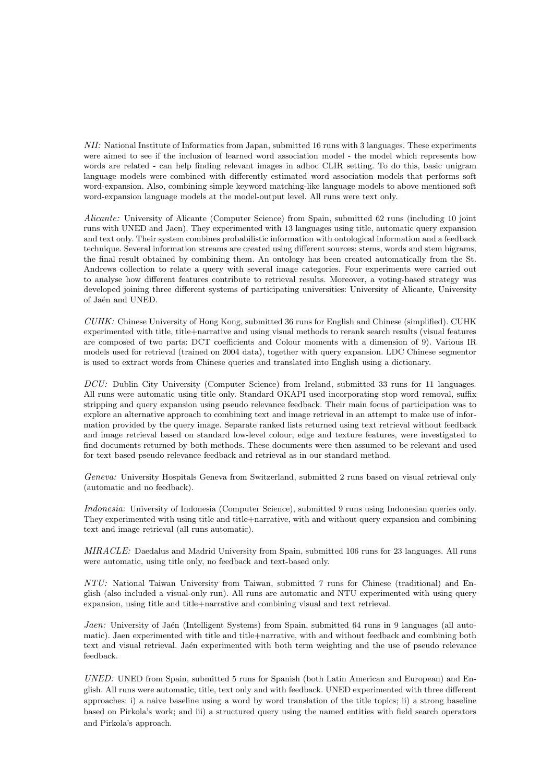NII: National Institute of Informatics from Japan, submitted 16 runs with 3 languages. These experiments were aimed to see if the inclusion of learned word association model - the model which represents how words are related - can help finding relevant images in adhoc CLIR setting. To do this, basic unigram language models were combined with differently estimated word association models that performs soft word-expansion. Also, combining simple keyword matching-like language models to above mentioned soft word-expansion language models at the model-output level. All runs were text only.

Alicante: University of Alicante (Computer Science) from Spain, submitted 62 runs (including 10 joint runs with UNED and Jaen). They experimented with 13 languages using title, automatic query expansion and text only. Their system combines probabilistic information with ontological information and a feedback technique. Several information streams are created using different sources: stems, words and stem bigrams, the final result obtained by combining them. An ontology has been created automatically from the St. Andrews collection to relate a query with several image categories. Four experiments were carried out to analyse how different features contribute to retrieval results. Moreover, a voting-based strategy was developed joining three different systems of participating universities: University of Alicante, University of Jaén and UNED.

CUHK: Chinese University of Hong Kong, submitted 36 runs for English and Chinese (simplified). CUHK experimented with title, title+narrative and using visual methods to rerank search results (visual features are composed of two parts: DCT coefficients and Colour moments with a dimension of 9). Various IR models used for retrieval (trained on 2004 data), together with query expansion. LDC Chinese segmentor is used to extract words from Chinese queries and translated into English using a dictionary.

DCU: Dublin City University (Computer Science) from Ireland, submitted 33 runs for 11 languages. All runs were automatic using title only. Standard OKAPI used incorporating stop word removal, suffix stripping and query expansion using pseudo relevance feedback. Their main focus of participation was to explore an alternative approach to combining text and image retrieval in an attempt to make use of information provided by the query image. Separate ranked lists returned using text retrieval without feedback and image retrieval based on standard low-level colour, edge and texture features, were investigated to find documents returned by both methods. These documents were then assumed to be relevant and used for text based pseudo relevance feedback and retrieval as in our standard method.

Geneva: University Hospitals Geneva from Switzerland, submitted 2 runs based on visual retrieval only (automatic and no feedback).

Indonesia: University of Indonesia (Computer Science), submitted 9 runs using Indonesian queries only. They experimented with using title and title+narrative, with and without query expansion and combining text and image retrieval (all runs automatic).

MIRACLE: Daedalus and Madrid University from Spain, submitted 106 runs for 23 languages. All runs were automatic, using title only, no feedback and text-based only.

NTU: National Taiwan University from Taiwan, submitted 7 runs for Chinese (traditional) and English (also included a visual-only run). All runs are automatic and NTU experimented with using query expansion, using title and title+narrative and combining visual and text retrieval.

Jaen: University of Jaén (Intelligent Systems) from Spain, submitted 64 runs in 9 languages (all automatic). Jaen experimented with title and title+narrative, with and without feedback and combining both text and visual retrieval. Jaén experimented with both term weighting and the use of pseudo relevance feedback.

UNED: UNED from Spain, submitted 5 runs for Spanish (both Latin American and European) and English. All runs were automatic, title, text only and with feedback. UNED experimented with three different approaches: i) a naive baseline using a word by word translation of the title topics; ii) a strong baseline based on Pirkola's work; and iii) a structured query using the named entities with field search operators and Pirkola's approach.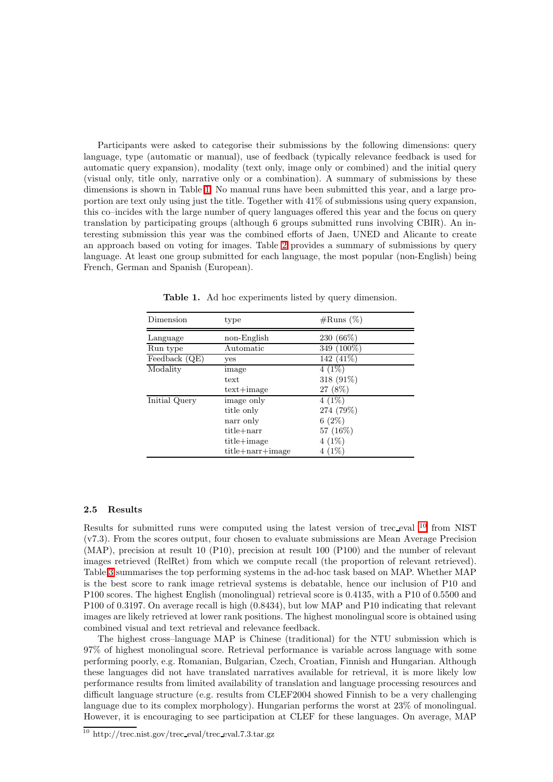Participants were asked to categorise their submissions by the following dimensions: query language, type (automatic or manual), use of feedback (typically relevance feedback is used for automatic query expansion), modality (text only, image only or combined) and the initial query (visual only, title only, narrative only or a combination). A summary of submissions by these dimensions is shown in Table [1.](#page-4-0) No manual runs have been submitted this year, and a large proportion are text only using just the title. Together with 41% of submissions using query expansion, this co–incides with the large number of query languages offered this year and the focus on query translation by participating groups (although 6 groups submitted runs involving CBIR). An interesting submission this year was the combined efforts of Jaen, UNED and Alicante to create an approach based on voting for images. Table [2](#page-5-0) provides a summary of submissions by query language. At least one group submitted for each language, the most popular (non-English) being French, German and Spanish (European).

<span id="page-4-0"></span>

| Dimension     | type                   | $\#\text{Runs}(\%)$ |
|---------------|------------------------|---------------------|
| Language      | non-English            | 230 (66\%)          |
| Run type      | Automatic              | 349 (100%)          |
| Feedback (QE) | yes                    | 142 (41%)           |
| Modality      | image                  | $4(1\%)$            |
|               | text                   | 318 (91%)           |
|               | $text+image$           | 27 (8%)             |
| Initial Query | image only             | $4(1\%)$            |
|               | title only             | 274 (79%)           |
|               | narr only              | 6(2%)               |
|               | $title + narr$         | 57 (16%)            |
|               | $title + image$        | $4(1\%)$            |
|               | $title + narr + image$ | (1%)                |

Table 1. Ad hoc experiments listed by query dimension.

#### 2.5 Results

Results for submitted runs were computed using the latest version of trec eval [10](#page-4-1) from NIST (v7.3). From the scores output, four chosen to evaluate submissions are Mean Average Precision (MAP), precision at result 10 (P10), precision at result 100 (P100) and the number of relevant images retrieved (RelRet) from which we compute recall (the proportion of relevant retrieved). Table [3](#page-5-1) summarises the top performing systems in the ad-hoc task based on MAP. Whether MAP is the best score to rank image retrieval systems is debatable, hence our inclusion of P10 and P100 scores. The highest English (monolingual) retrieval score is 0.4135, with a P10 of 0.5500 and P100 of 0.3197. On average recall is high (0.8434), but low MAP and P10 indicating that relevant images are likely retrieved at lower rank positions. The highest monolingual score is obtained using combined visual and text retrieval and relevance feedback.

The highest cross–language MAP is Chinese (traditional) for the NTU submission which is 97% of highest monolingual score. Retrieval performance is variable across language with some performing poorly, e.g. Romanian, Bulgarian, Czech, Croatian, Finnish and Hungarian. Although these languages did not have translated narratives available for retrieval, it is more likely low performance results from limited availability of translation and language processing resources and difficult language structure (e.g. results from CLEF2004 showed Finnish to be a very challenging language due to its complex morphology). Hungarian performs the worst at 23% of monolingual. However, it is encouraging to see participation at CLEF for these languages. On average, MAP

<span id="page-4-1"></span> $\frac{10 \text{ http://tree.nist.gov/trec-eval/trec-eval}.7.3.1}$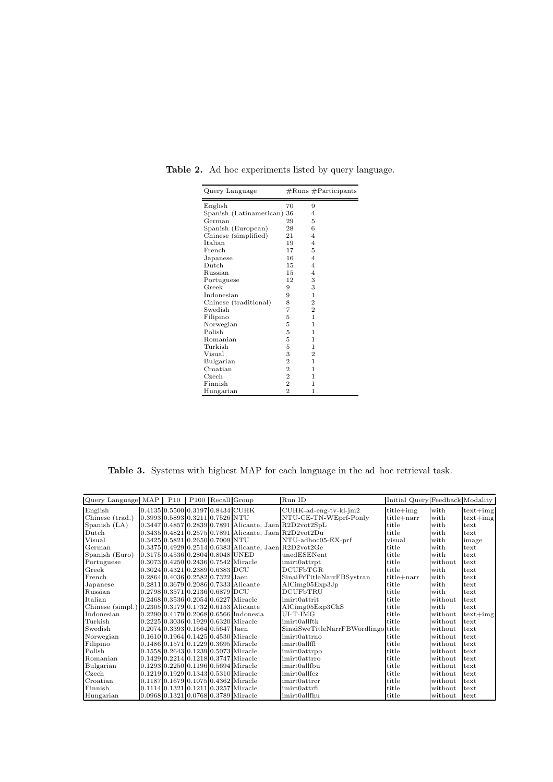| Query Language          |                | $#Runs$ #Participants |
|-------------------------|----------------|-----------------------|
| English                 | 70             | 9                     |
| Spanish (Latinamerican) | 36             | 4                     |
| German                  | 29             | 5                     |
| Spanish (European)      | 28             | 6                     |
| Chinese (simplified)    | 21             | 4                     |
| Italian                 | 19             | $\overline{4}$        |
| French                  | 17             | 5                     |
| Japanese                | 16             | $\overline{4}$        |
| Dutch                   | 15             | $\overline{4}$        |
| Russian                 | 15             | 4                     |
| Portuguese              | 12             | 3                     |
| Greek                   | 9              | 3                     |
| Indonesian              | 9              | 1                     |
| Chinese (traditional)   | 8              | $\overline{2}$        |
| Swedish                 | 7              | $\overline{2}$        |
| Filipino                | 5              | 1                     |
| Norwegian               | 5              | 1                     |
| Polish                  | 5              | 1                     |
| Romanian                | 5              | 1                     |
| Turkish                 | 5              | 1                     |
| Visual                  | 3              | $\overline{2}$        |
| Bulgarian               | $\overline{2}$ | 1                     |
| Croatian                | $\overline{2}$ | 1                     |
| Czech                   | $\overline{2}$ | 1                     |
| Finnish                 | $\overline{2}$ | 1                     |
| Hungarian               | $\overline{2}$ | 1                     |

<span id="page-5-0"></span>Table 2. Ad hoc experiments listed by query language.

<span id="page-5-1"></span>Table 3. Systems with highest MAP for each language in the ad–hoc retrieval task.

| Query Language MAP   P10   P100   Recall Group        |                                    |  |                                         | Run ID                                                   | Initial Query Feedback Modality |         |            |
|-------------------------------------------------------|------------------------------------|--|-----------------------------------------|----------------------------------------------------------|---------------------------------|---------|------------|
| English                                               |                                    |  | 0.4135 0.5500 0.3197 0.8434 CUHK        | CUHK-ad-eng-tv-kl-jm2                                    | $title+img$                     | with    | $text+img$ |
| Chinese (trad.)                                       | 0.3993 0.5893 0.3211 0.7526 NTU    |  |                                         | NTU-CE-TN-WEprf-Ponly                                    | title+narr                      | with    | $text+img$ |
| Spanish (LA)                                          |                                    |  |                                         | $0.3447$ 0.4857 0.2839 0.7891 Alicante, Jaen R2D2vot2SpL | title                           | with    | text       |
| Dutch                                                 |                                    |  |                                         | 0.3435 0.4821 0.2575 0.7891 Alicante, Jaen R2D2vot2Du    | title                           | with    | text       |
| Visual                                                | 0.3425 0.5821 0.2650 0.7009 NTU    |  |                                         | NTU-adhoc05-EX-prf                                       | visual                          | with    | image      |
| German                                                |                                    |  |                                         | 0.3375 0.4929 0.2514 0.6383 Alicante, Jaen R2D2vot2Ge    | title                           | with    | text       |
| Spanish (Euro)                                        | 0.3175 0.4536 0.2804 0.8048 UNED   |  |                                         | unedESENent                                              | title                           | with    | text       |
| Portuguese                                            |                                    |  | 0.3073 0.4250 0.2436 0.7542 Miracle     | imirt0attrpt                                             | title                           | without | text       |
| Greek                                                 | $0.3024$ 0.4321 0.2389 0.6383 DCU  |  |                                         | <b>DCUFbTGR</b>                                          | title                           | with    | text       |
| French                                                | $0.2864$ 0.4036 0.2582 0.7322 Jaen |  |                                         | SinaiFrTitleNarrFBSystran                                | $title + narr$                  | with    | text       |
| Japanese                                              |                                    |  | 0.2811 0.3679 0.2086 0.7333 Alicante    | AlCimg05Exp3Jp                                           | title                           | with    | text       |
| Russian                                               | 0.2798 0.3571 0.2136 0.6879 DCU    |  |                                         | <b>DCUFbTRU</b>                                          | title                           | with    | text       |
| Italian                                               |                                    |  | 0.2468 0.3536 0.2054 0.6227 Miracle     | imirt0attrit                                             | title                           | without | text       |
| Chinese (simpl.) 0.2305 0.3179 0.1732 0.6153 Alicante |                                    |  |                                         | AlCimg05Exp3ChS                                          | title                           | with    | text       |
| Indonesian                                            |                                    |  | $0.2290$ 0.4179 0.2068 0.6566 Indonesia | $UI-T-IMG$                                               | title                           | without | $text+img$ |
| Turkish                                               |                                    |  | 0.2225 0.3036 0.1929 0.6320 Miracle     | imirt0allftk                                             | title                           | without | text       |
| Swedish                                               | $0.2074$ 0.3393 0.1664 0.5647 Jaen |  |                                         | SinaiSweTitleNarrFBWordlingo title                       |                                 | without | text       |
| Norwegian                                             |                                    |  | 0.1610 0.1964 0.1425 0.4530 Miracle     | imirt0attrno                                             | title                           | without | text       |
| Filipino                                              |                                    |  | 0.1486 0.1571 0.1229 0.3695 Miracle     | imirt0allffl                                             | title                           | without | text       |
| Polish                                                |                                    |  | 0.1558 0.2643 0.1239 0.5073 Miracle     | imirt0attrpo                                             | title                           | without | text       |
| Romanian                                              |                                    |  | 0.1429 0.2214 0.1218 0.3747 Miracle     | imirt0attrro                                             | title                           | without | text       |
| Bulgarian                                             |                                    |  | 0.1293 0.2250 0.1196 0.5694 Miracle     | imirt0allfbu                                             | title                           | without | text       |
| Czech                                                 |                                    |  | 0.1219 0.1929 0.1343 0.5310 Miracle     | imirt0allfcz                                             | title                           | without | text       |
| Croatian                                              |                                    |  | 0.1187 0.1679 0.1075 0.4362 Miracle     | $imirt0$ attr $cr$                                       | title                           | without | text       |
| Finnish                                               |                                    |  | 0.1114 0.1321 0.1211 0.3257 Miracle     | $imit0$ attrfi                                           | title                           | without | text       |
| Hungarian                                             |                                    |  | 0.0968 0.1321 0.0768 0.3789 Miracle     | imirt0allfhu                                             | title                           | without | text       |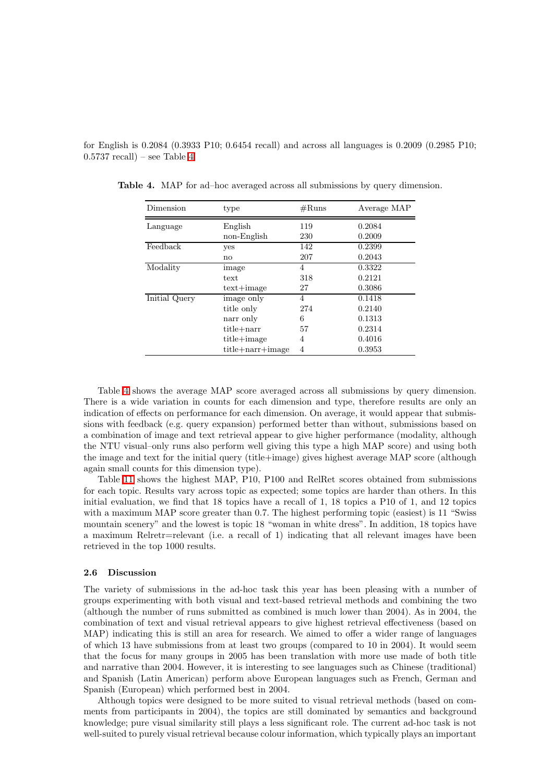for English is 0.2084 (0.3933 P10; 0.6454 recall) and across all languages is 0.2009 (0.2985 P10;  $(0.5737 \text{ recall}) - \text{see Table 4}.$ 

| Dimension     | type                   | $\#\text{Runs}$ | Average MAP |
|---------------|------------------------|-----------------|-------------|
| Language      | English                | 119             | 0.2084      |
|               | non-English            | 230             | 0.2009      |
| Feedback      | yes                    | 142             | 0.2399      |
|               | $\mathbf{n}$           | 207             | 0.2043      |
| Modality      | image                  | 4               | 0.3322      |
|               | text                   | 318             | 0.2121      |
|               | $text+image$           | 27              | 0.3086      |
| Initial Query | image only             | 4               | 0.1418      |
|               | title only             | 274             | 0.2140      |
|               | narr only              | 6               | 0.1313      |
|               | title+narr             | 57              | 0.2314      |
|               | $title + image$        | 4               | 0.4016      |
|               | $title + narr + image$ | 4               | 0.3953      |

<span id="page-6-0"></span>Table 4. MAP for ad–hoc averaged across all submissions by query dimension.

Table [4](#page-6-0) shows the average MAP score averaged across all submissions by query dimension. There is a wide variation in counts for each dimension and type, therefore results are only an indication of effects on performance for each dimension. On average, it would appear that submissions with feedback (e.g. query expansion) performed better than without, submissions based on a combination of image and text retrieval appear to give higher performance (modality, although the NTU visual–only runs also perform well giving this type a high MAP score) and using both the image and text for the initial query (title+image) gives highest average MAP score (although again small counts for this dimension type).

Table [11](#page-20-0) shows the highest MAP, P10, P100 and RelRet scores obtained from submissions for each topic. Results vary across topic as expected; some topics are harder than others. In this initial evaluation, we find that 18 topics have a recall of 1, 18 topics a P10 of 1, and 12 topics with a maximum MAP score greater than 0.7. The highest performing topic (easiest) is 11 "Swiss mountain scenery" and the lowest is topic 18 "woman in white dress". In addition, 18 topics have a maximum Relretr=relevant (i.e. a recall of 1) indicating that all relevant images have been retrieved in the top 1000 results.

#### 2.6 Discussion

The variety of submissions in the ad-hoc task this year has been pleasing with a number of groups experimenting with both visual and text-based retrieval methods and combining the two (although the number of runs submitted as combined is much lower than 2004). As in 2004, the combination of text and visual retrieval appears to give highest retrieval effectiveness (based on MAP) indicating this is still an area for research. We aimed to offer a wider range of languages of which 13 have submissions from at least two groups (compared to 10 in 2004). It would seem that the focus for many groups in 2005 has been translation with more use made of both title and narrative than 2004. However, it is interesting to see languages such as Chinese (traditional) and Spanish (Latin American) perform above European languages such as French, German and Spanish (European) which performed best in 2004.

Although topics were designed to be more suited to visual retrieval methods (based on comments from participants in 2004), the topics are still dominated by semantics and background knowledge; pure visual similarity still plays a less significant role. The current ad-hoc task is not well-suited to purely visual retrieval because colour information, which typically plays an important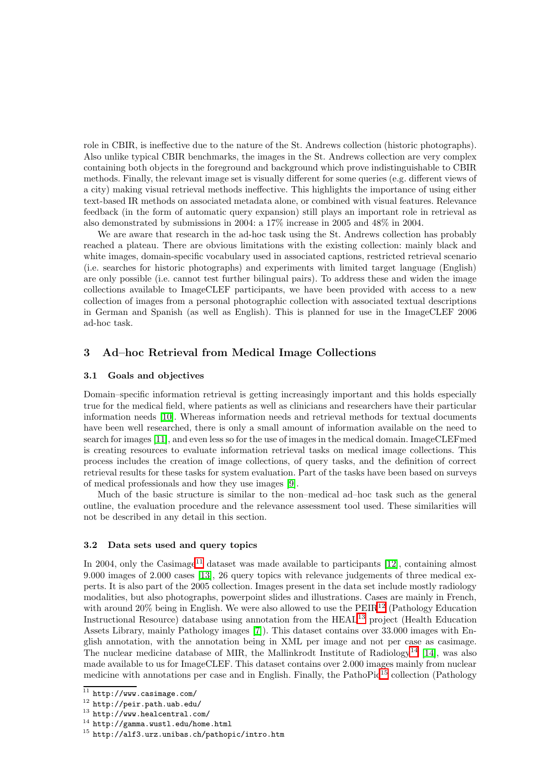role in CBIR, is ineffective due to the nature of the St. Andrews collection (historic photographs). Also unlike typical CBIR benchmarks, the images in the St. Andrews collection are very complex containing both objects in the foreground and background which prove indistinguishable to CBIR methods. Finally, the relevant image set is visually different for some queries (e.g. different views of a city) making visual retrieval methods ineffective. This highlights the importance of using either text-based IR methods on associated metadata alone, or combined with visual features. Relevance feedback (in the form of automatic query expansion) still plays an important role in retrieval as also demonstrated by submissions in 2004: a 17% increase in 2005 and 48% in 2004.

We are aware that research in the ad-hoc task using the St. Andrews collection has probably reached a plateau. There are obvious limitations with the existing collection: mainly black and white images, domain-specific vocabulary used in associated captions, restricted retrieval scenario (i.e. searches for historic photographs) and experiments with limited target language (English) are only possible (i.e. cannot test further bilingual pairs). To address these and widen the image collections available to ImageCLEF participants, we have been provided with access to a new collection of images from a personal photographic collection with associated textual descriptions in German and Spanish (as well as English). This is planned for use in the ImageCLEF 2006 ad-hoc task.

## <span id="page-7-0"></span>3 Ad–hoc Retrieval from Medical Image Collections

#### 3.1 Goals and objectives

Domain–specific information retrieval is getting increasingly important and this holds especially true for the medical field, where patients as well as clinicians and researchers have their particular information needs [\[10\]](#page-19-3). Whereas information needs and retrieval methods for textual documents have been well researched, there is only a small amount of information available on the need to search for images [\[11\]](#page-19-4), and even less so for the use of images in the medical domain. ImageCLEFmed is creating resources to evaluate information retrieval tasks on medical image collections. This process includes the creation of image collections, of query tasks, and the definition of correct retrieval results for these tasks for system evaluation. Part of the tasks have been based on surveys of medical professionals and how they use images [\[9\]](#page-19-5).

Much of the basic structure is similar to the non–medical ad–hoc task such as the general outline, the evaluation procedure and the relevance assessment tool used. These similarities will not be described in any detail in this section.

#### 3.2 Data sets used and query topics

In 2004, only the Casimage<sup>[11](#page-7-1)</sup> dataset was made available to participants  $[12]$ , containing almost 9.000 images of 2.000 cases [\[13\]](#page-20-2), 26 query topics with relevance judgements of three medical experts. It is also part of the 2005 collection. Images present in the data set include mostly radiology modalities, but also photographs, powerpoint slides and illustrations. Cases are mainly in French, with around 20% being in English. We were also allowed to use the PEIR<sup>[12](#page-7-2)</sup> (Pathology Education Instructional Resource) database using annotation from the HEAL[13](#page-7-3) project (Health Education Assets Library, mainly Pathology images [\[7\]](#page-19-6)). This dataset contains over 33.000 images with English annotation, with the annotation being in XML per image and not per case as casimage. The nuclear medicine database of MIR, the Mallinkrodt Institute of Radiology<sup>[14](#page-7-4)</sup> [\[14\]](#page-20-3), was also made available to us for ImageCLEF. This dataset contains over 2.000 images mainly from nuclear medicine with annotations per case and in English. Finally, the PathoPic<sup>[15](#page-7-5)</sup> collection (Pathology

<span id="page-7-1"></span><sup>11</sup> http://www.casimage.com/

<span id="page-7-2"></span><sup>12</sup> http://peir.path.uab.edu/

<span id="page-7-3"></span><sup>13</sup> http://www.healcentral.com/

<span id="page-7-4"></span> $^{14}$ http://gamma.wustl.edu/home.html

<span id="page-7-5"></span><sup>15</sup> http://alf3.urz.unibas.ch/pathopic/intro.htm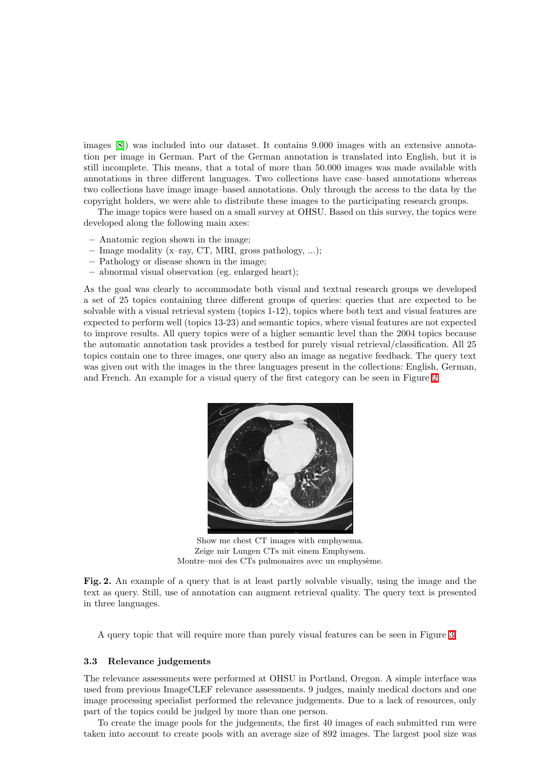images [\[8\]](#page-19-7)) was included into our dataset. It contains 9.000 images with an extensive annotation per image in German. Part of the German annotation is translated into English, but it is still incomplete. This means, that a total of more than 50.000 images was made available with annotations in three different languages. Two collections have case–based annotations whereas two collections have image image–based annotations. Only through the access to the data by the copyright holders, we were able to distribute these images to the participating research groups.

The image topics were based on a small survey at OHSU. Based on this survey, the topics were developed along the following main axes:

- Anatomic region shown in the image;
- Image modality (x–ray, CT, MRI, gross pathology, ...);
- Pathology or disease shown in the image;
- abnormal visual observation (eg. enlarged heart);

As the goal was clearly to accommodate both visual and textual research groups we developed a set of 25 topics containing three different groups of queries: queries that are expected to be solvable with a visual retrieval system (topics 1-12), topics where both text and visual features are expected to perform well (topics 13-23) and semantic topics, where visual features are not expected to improve results. All query topics were of a higher semantic level than the 2004 topics because the automatic annotation task provides a testbed for purely visual retrieval/classification. All 25 topics contain one to three images, one query also an image as negative feedback. The query text was given out with the images in the three languages present in the collections: English, German, and French. An example for a visual query of the first category can be seen in Figure [2.](#page-8-0)



Show me chest CT images with emphysema. Zeige mir Lungen CTs mit einem Emphysem. Montre–moi des CTs pulmonaires avec un emphysème.

<span id="page-8-0"></span>Fig. 2. An example of a query that is at least partly solvable visually, using the image and the text as query. Still, use of annotation can augment retrieval quality. The query text is presented in three languages.

A query topic that will require more than purely visual features can be seen in Figure [3.](#page-9-0)

#### 3.3 Relevance judgements

The relevance assessments were performed at OHSU in Portland, Oregon. A simple interface was used from previous ImageCLEF relevance assessments. 9 judges, mainly medical doctors and one image processing specialist performed the relevance judgements. Due to a lack of resources, only part of the topics could be judged by more than one person.

To create the image pools for the judgements, the first 40 images of each submitted run were taken into account to create pools with an average size of 892 images. The largest pool size was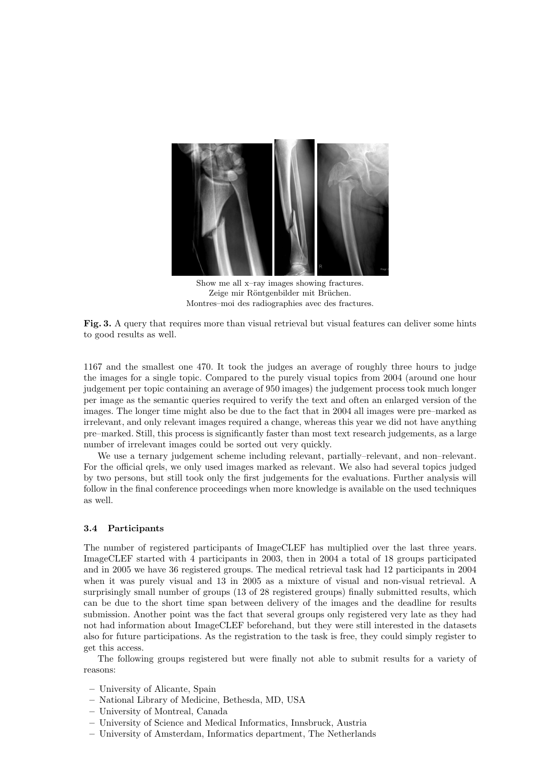

Show me all x–ray images showing fractures. Zeige mir Röntgenbilder mit Brüchen. Montres–moi des radiographies avec des fractures.

<span id="page-9-0"></span>Fig. 3. A query that requires more than visual retrieval but visual features can deliver some hints to good results as well.

1167 and the smallest one 470. It took the judges an average of roughly three hours to judge the images for a single topic. Compared to the purely visual topics from 2004 (around one hour judgement per topic containing an average of 950 images) the judgement process took much longer per image as the semantic queries required to verify the text and often an enlarged version of the images. The longer time might also be due to the fact that in 2004 all images were pre–marked as irrelevant, and only relevant images required a change, whereas this year we did not have anything pre–marked. Still, this process is significantly faster than most text research judgements, as a large number of irrelevant images could be sorted out very quickly.

We use a ternary judgement scheme including relevant, partially–relevant, and non–relevant. For the official qrels, we only used images marked as relevant. We also had several topics judged by two persons, but still took only the first judgements for the evaluations. Further analysis will follow in the final conference proceedings when more knowledge is available on the used techniques as well.

#### 3.4 Participants

The number of registered participants of ImageCLEF has multiplied over the last three years. ImageCLEF started with 4 participants in 2003, then in 2004 a total of 18 groups participated and in 2005 we have 36 registered groups. The medical retrieval task had 12 participants in 2004 when it was purely visual and 13 in 2005 as a mixture of visual and non-visual retrieval. A surprisingly small number of groups (13 of 28 registered groups) finally submitted results, which can be due to the short time span between delivery of the images and the deadline for results submission. Another point was the fact that several groups only registered very late as they had not had information about ImageCLEF beforehand, but they were still interested in the datasets also for future participations. As the registration to the task is free, they could simply register to get this access.

The following groups registered but were finally not able to submit results for a variety of reasons:

- University of Alicante, Spain
- National Library of Medicine, Bethesda, MD, USA
- University of Montreal, Canada
- University of Science and Medical Informatics, Innsbruck, Austria
- University of Amsterdam, Informatics department, The Netherlands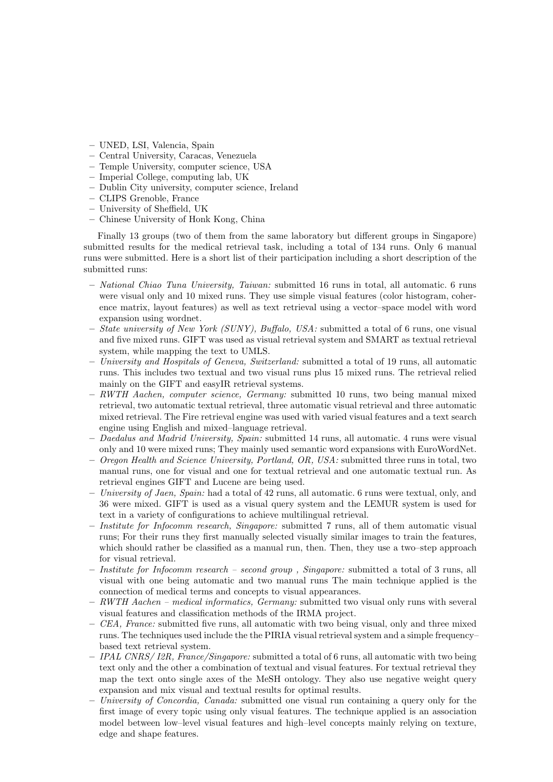- UNED, LSI, Valencia, Spain
- Central University, Caracas, Venezuela
- Temple University, computer science, USA
- Imperial College, computing lab, UK
- Dublin City university, computer science, Ireland
- CLIPS Grenoble, France
- University of Sheffield, UK
- Chinese University of Honk Kong, China

Finally 13 groups (two of them from the same laboratory but different groups in Singapore) submitted results for the medical retrieval task, including a total of 134 runs. Only 6 manual runs were submitted. Here is a short list of their participation including a short description of the submitted runs:

- National Chiao Tuna University, Taiwan: submitted 16 runs in total, all automatic. 6 runs were visual only and 10 mixed runs. They use simple visual features (color histogram, coherence matrix, layout features) as well as text retrieval using a vector–space model with word expansion using wordnet.
- State university of New York (SUNY), Buffalo, USA: submitted a total of 6 runs, one visual and five mixed runs. GIFT was used as visual retrieval system and SMART as textual retrieval system, while mapping the text to UMLS.
- University and Hospitals of Geneva, Switzerland: submitted a total of 19 runs, all automatic runs. This includes two textual and two visual runs plus 15 mixed runs. The retrieval relied mainly on the GIFT and easyIR retrieval systems.
- RWTH Aachen, computer science, Germany: submitted 10 runs, two being manual mixed retrieval, two automatic textual retrieval, three automatic visual retrieval and three automatic mixed retrieval. The Fire retrieval engine was used with varied visual features and a text search engine using English and mixed–language retrieval.
- $-$  Daedalus and Madrid University, Spain: submitted 14 runs, all automatic. 4 runs were visual only and 10 were mixed runs; They mainly used semantic word expansions with EuroWordNet.
- Oregon Health and Science University, Portland, OR, USA: submitted three runs in total, two manual runs, one for visual and one for textual retrieval and one automatic textual run. As retrieval engines GIFT and Lucene are being used.
- University of Jaen, Spain: had a total of 42 runs, all automatic. 6 runs were textual, only, and 36 were mixed. GIFT is used as a visual query system and the LEMUR system is used for text in a variety of configurations to achieve multilingual retrieval.
- Institute for Infocomm research, Singapore: submitted 7 runs, all of them automatic visual runs; For their runs they first manually selected visually similar images to train the features, which should rather be classified as a manual run, then. Then, they use a two–step approach for visual retrieval.
- Institute for Infocomm research second group , Singapore: submitted a total of 3 runs, all visual with one being automatic and two manual runs The main technique applied is the connection of medical terms and concepts to visual appearances.
- RWTH Aachen medical informatics, Germany: submitted two visual only runs with several visual features and classification methods of the IRMA project.
- CEA, France: submitted five runs, all automatic with two being visual, only and three mixed runs. The techniques used include the the PIRIA visual retrieval system and a simple frequency– based text retrieval system.
- $-$  IPAL CNRS/12R, France/Singapore: submitted a total of 6 runs, all automatic with two being text only and the other a combination of textual and visual features. For textual retrieval they map the text onto single axes of the MeSH ontology. They also use negative weight query expansion and mix visual and textual results for optimal results.
- University of Concordia, Canada: submitted one visual run containing a query only for the first image of every topic using only visual features. The technique applied is an association model between low–level visual features and high–level concepts mainly relying on texture, edge and shape features.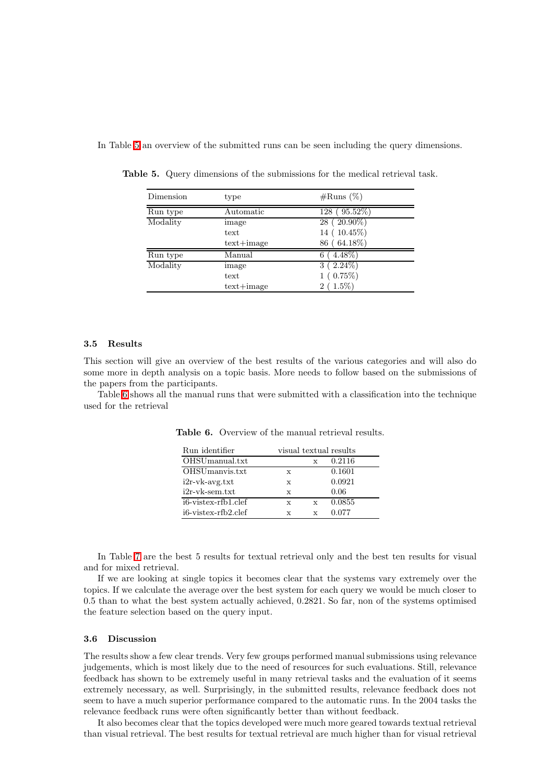<span id="page-11-0"></span>In Table [5](#page-11-0) an overview of the submitted runs can be seen including the query dimensions.

| Dimension | type         | $\#\text{Runs } (\% )$ |
|-----------|--------------|------------------------|
| Run type  | Automatic    | $(95.52\%)$<br>128     |
| Modality  | image        | $28$ ( $20.90\%$ )     |
|           | text         | 14 (10.45%)            |
|           | $text+image$ | 86 (64.18%)            |
| Run type  | Manual       | $4.48\%$<br>6          |
| Modality  | image        | $(2.24\%)$<br>3        |
|           | text         | $(0.75\%)$             |
|           | $text+image$ | $(1.5\%)$<br>$^{2}$    |

Table 5. Query dimensions of the submissions for the medical retrieval task.

#### 3.5 Results

This section will give an overview of the best results of the various categories and will also do some more in depth analysis on a topic basis. More needs to follow based on the submissions of the papers from the participants.

Table [6](#page-11-1) shows all the manual runs that were submitted with a classification into the technique used for the retrieval

| Run identifier                   |              |              | visual textual results |
|----------------------------------|--------------|--------------|------------------------|
| OHSUmanual.txt                   |              |              | 0.2116                 |
| OHSUmanyis.txt                   | X            |              | 0.1601                 |
| $i2r-vk-avg.txt$                 | X            |              | 0.0921                 |
| $i2r-vk-sem.txt$                 | $\mathbf{x}$ |              | 0.06                   |
| i <sub>6</sub> -vistex-rfb1.clef | X            | X            | 0.0855                 |
| i <sub>6</sub> -vistex-rfb2.clef | X            | $\mathbf{x}$ | 0.077                  |

<span id="page-11-1"></span>Table 6. Overview of the manual retrieval results.

In Table [7](#page-12-0) are the best 5 results for textual retrieval only and the best ten results for visual and for mixed retrieval.

If we are looking at single topics it becomes clear that the systems vary extremely over the topics. If we calculate the average over the best system for each query we would be much closer to 0.5 than to what the best system actually achieved, 0.2821. So far, non of the systems optimised the feature selection based on the query input.

#### 3.6 Discussion

The results show a few clear trends. Very few groups performed manual submissions using relevance judgements, which is most likely due to the need of resources for such evaluations. Still, relevance feedback has shown to be extremely useful in many retrieval tasks and the evaluation of it seems extremely necessary, as well. Surprisingly, in the submitted results, relevance feedback does not seem to have a much superior performance compared to the automatic runs. In the 2004 tasks the relevance feedback runs were often significantly better than without feedback.

It also becomes clear that the topics developed were much more geared towards textual retrieval than visual retrieval. The best results for textual retrieval are much higher than for visual retrieval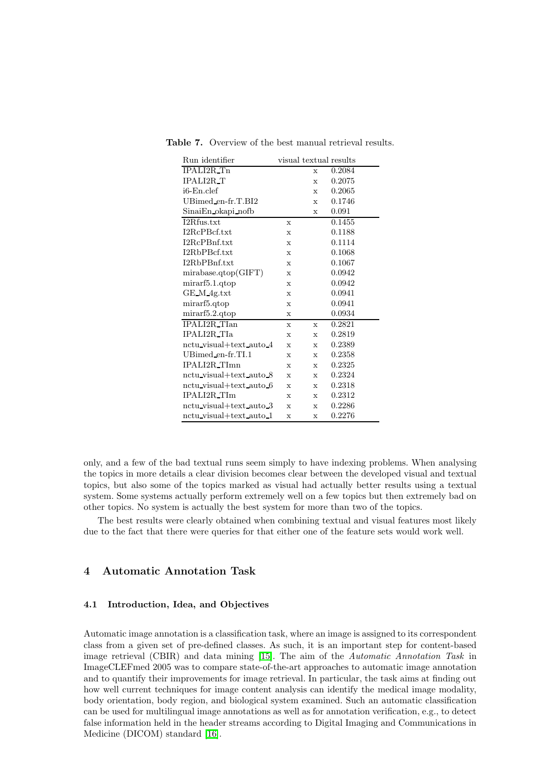| Run identifier          |             | visual textual results |        |
|-------------------------|-------------|------------------------|--------|
| IPALI2R_Tn              |             | $\mathbf x$            | 0.2084 |
| <b>IPALI2R_T</b>        |             | $\mathbf{x}$           | 0.2075 |
| $i6$ -En.clef           |             | $\mathbf{x}$           | 0.2065 |
| $UBimed_en-fr.T.BI2$    |             | X                      | 0.1746 |
| SinaiEn okapi nofb      |             | X                      | 0.091  |
| I2Rfus.txt              | $\mathbf x$ |                        | 0.1455 |
| I2RcPBcf.txt            | $\mathbf x$ |                        | 0.1188 |
| I2RcPBnf.txt            | $\mathbf x$ |                        | 0.1114 |
| I2RbPBcf.txt            | $\mathbf x$ |                        | 0.1068 |
| I2RbPBnf.txt            | $\mathbf x$ |                        | 0.1067 |
| mirabase.qtop(GIFT)     | X           |                        | 0.0942 |
| mirarf5.1.qtop          | $\mathbf x$ |                        | 0.0942 |
| GE_M_4g.txt             | $\mathbf x$ |                        | 0.0941 |
| mirarf5.qtop            | $\mathbf x$ |                        | 0.0941 |
| mirarf5.2.qtop          | $\mathbf x$ |                        | 0.0934 |
| IPALI2R_TIan            | $\mathbf x$ | X                      | 0.2821 |
| <b>IPALI2R_TIa</b>      | $\mathbf x$ | $\mathbf x$            | 0.2819 |
| nctu_visual+text_auto_4 | $\mathbf x$ | X                      | 0.2389 |
| UBimed_en-fr.TI.1       | $\mathbf x$ | X                      | 0.2358 |
| IPALI2R_TImn            | $\mathbf x$ | X                      | 0.2325 |
| nctu visual+text auto 8 | $\mathbf x$ | $\mathbf{x}$           | 0.2324 |
| nctu_visual+text_auto_6 | $\mathbf x$ | X                      | 0.2318 |
| <b>IPALI2R_TIm</b>      | $\mathbf x$ | $\mathbf x$            | 0.2312 |
| nctu_visual+text_auto_3 | $\mathbf x$ | $\mathbf x$            | 0.2286 |
| nctu_visual+text_auto_1 | $\mathbf x$ | $\mathbf x$            | 0.2276 |

<span id="page-12-0"></span>Table 7. Overview of the best manual retrieval results.

only, and a few of the bad textual runs seem simply to have indexing problems. When analysing the topics in more details a clear division becomes clear between the developed visual and textual topics, but also some of the topics marked as visual had actually better results using a textual system. Some systems actually perform extremely well on a few topics but then extremely bad on other topics. No system is actually the best system for more than two of the topics.

The best results were clearly obtained when combining textual and visual features most likely due to the fact that there were queries for that either one of the feature sets would work well.

## 4 Automatic Annotation Task

## 4.1 Introduction, Idea, and Objectives

Automatic image annotation is a classification task, where an image is assigned to its correspondent class from a given set of pre-defined classes. As such, it is an important step for content-based image retrieval (CBIR) and data mining [\[15\]](#page-20-4). The aim of the Automatic Annotation Task in ImageCLEFmed 2005 was to compare state-of-the-art approaches to automatic image annotation and to quantify their improvements for image retrieval. In particular, the task aims at finding out how well current techniques for image content analysis can identify the medical image modality, body orientation, body region, and biological system examined. Such an automatic classification can be used for multilingual image annotations as well as for annotation verification, e.g., to detect false information held in the header streams according to Digital Imaging and Communications in Medicine (DICOM) standard [\[16\]](#page-20-5).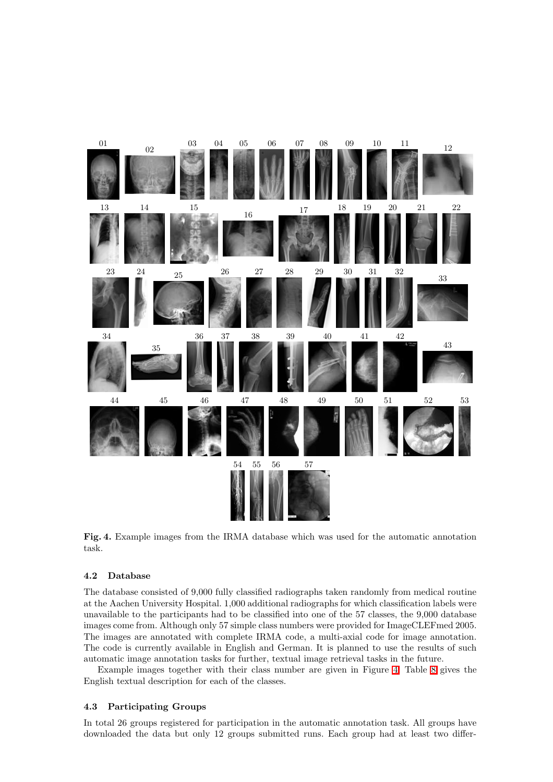

<span id="page-13-0"></span>Fig. 4. Example images from the IRMA database which was used for the automatic annotation task.

## 4.2 Database

The database consisted of 9,000 fully classified radiographs taken randomly from medical routine at the Aachen University Hospital. 1,000 additional radiographs for which classification labels were unavailable to the participants had to be classified into one of the 57 classes, the 9,000 database images come from. Although only 57 simple class numbers were provided for ImageCLEFmed 2005. The images are annotated with complete IRMA code, a multi-axial code for image annotation. The code is currently available in English and German. It is planned to use the results of such automatic image annotation tasks for further, textual image retrieval tasks in the future.

Example images together with their class number are given in Figure [4.](#page-13-0) Table [8](#page-14-0) gives the English textual description for each of the classes.

## 4.3 Participating Groups

In total 26 groups registered for participation in the automatic annotation task. All groups have downloaded the data but only 12 groups submitted runs. Each group had at least two differ-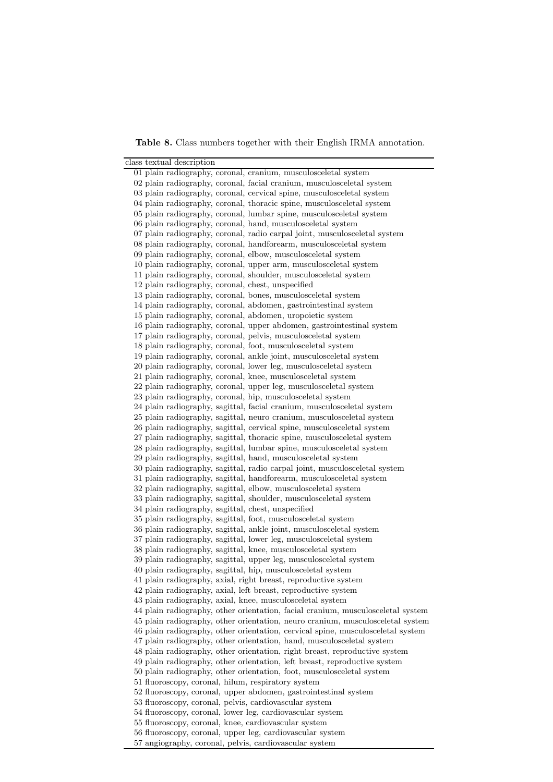Table 8. Class numbers together with their English IRMA annotation.

<span id="page-14-0"></span>

| class textual description                                                                                             |
|-----------------------------------------------------------------------------------------------------------------------|
| 01 plain radiography, coronal, cranium, musculosceletal system                                                        |
| 02 plain radiography, coronal, facial cranium, musculosceletal system                                                 |
| 03 plain radiography, coronal, cervical spine, musculosceletal system                                                 |
| 04 plain radiography, coronal, thoracic spine, musculosceletal system                                                 |
| 05 plain radiography, coronal, lumbar spine, musculosceletal system                                                   |
| 06 plain radiography, coronal, hand, musculosceletal system                                                           |
| 07 plain radiography, coronal, radio carpal joint, musculosceletal system                                             |
| 08 plain radiography, coronal, handforearm, musculosceletal system                                                    |
| 09 plain radiography, coronal, elbow, musculosceletal system                                                          |
| 10 plain radiography, coronal, upper arm, musculosceletal system                                                      |
| 11 plain radiography, coronal, shoulder, musculosceletal system                                                       |
| 12 plain radiography, coronal, chest, unspecified                                                                     |
| 13 plain radiography, coronal, bones, musculosceletal system                                                          |
| 14 plain radiography, coronal, abdomen, gastrointestinal system                                                       |
| 15 plain radiography, coronal, abdomen, uropoietic system                                                             |
| 16 plain radiography, coronal, upper abdomen, gastrointestinal system                                                 |
| 17 plain radiography, coronal, pelvis, musculosceletal system                                                         |
| 18 plain radiography, coronal, foot, musculosceletal system                                                           |
| 19 plain radiography, coronal, ankle joint, musculosceletal system                                                    |
| 20 plain radiography, coronal, lower leg, musculosceletal system                                                      |
| 21 plain radiography, coronal, knee, musculosceletal system                                                           |
| 22 plain radiography, coronal, upper leg, musculosceletal system                                                      |
| 23 plain radiography, coronal, hip, musculosceletal system                                                            |
| 24 plain radiography, sagittal, facial cranium, musculosceletal system                                                |
| 25 plain radiography, sagittal, neuro cranium, musculosceletal system                                                 |
| 26 plain radiography, sagittal, cervical spine, musculosceletal system                                                |
| 27 plain radiography, sagittal, thoracic spine, musculosceletal system                                                |
| 28 plain radiography, sagittal, lumbar spine, musculosceletal system                                                  |
| 29 plain radiography, sagittal, hand, musculosceletal system                                                          |
| 30 plain radiography, sagittal, radio carpal joint, musculosceletal system                                            |
| 31 plain radiography, sagittal, handforearm, musculosceletal system                                                   |
| 32 plain radiography, sagittal, elbow, musculosceletal system                                                         |
| 33 plain radiography, sagittal, shoulder, musculosceletal system                                                      |
| 34 plain radiography, sagittal, chest, unspecified                                                                    |
| 35 plain radiography, sagittal, foot, musculosceletal system                                                          |
| 36 plain radiography, sagittal, ankle joint, musculosceletal system                                                   |
| 37 plain radiography, sagittal, lower leg, musculosceletal system                                                     |
| 38 plain radiography, sagittal, knee, musculosceletal system                                                          |
| 39 plain radiography, sagittal, upper leg, musculosceletal system                                                     |
| 40 plain radiography, sagittal, hip, musculosceletal system                                                           |
| 41 plain radiography, axial, right breast, reproductive system                                                        |
| 42 plain radiography, axial, left breast, reproductive system                                                         |
| 43 plain radiography, axial, knee, musculosceletal system                                                             |
| 44 plain radiography, other orientation, facial cranium, musculosceletal system                                       |
| 45 plain radiography, other orientation, neuro cranium, musculosceletal system                                        |
| 46 plain radiography, other orientation, cervical spine, musculosceletal system                                       |
| 47 plain radiography, other orientation, hand, musculosceletal system                                                 |
| 48 plain radiography, other orientation, right breast, reproductive system                                            |
| 49 plain radiography, other orientation, left breast, reproductive system                                             |
| 50 plain radiography, other orientation, foot, musculosceletal system                                                 |
| 51 fluoroscopy, coronal, hilum, respiratory system<br>52 fluoroscopy, coronal, upper abdomen, gastrointestinal system |
| 53 fluoroscopy, coronal, pelvis, cardiovascular system                                                                |
| 54 fluoroscopy, coronal, lower leg, cardiovascular system                                                             |
| 55 fluoroscopy, coronal, knee, cardiovascular system                                                                  |
| 56 fluoroscopy, coronal, upper leg, cardiovascular system                                                             |
| 57 angiography, coronal, pelvis, cardiovascular system                                                                |
|                                                                                                                       |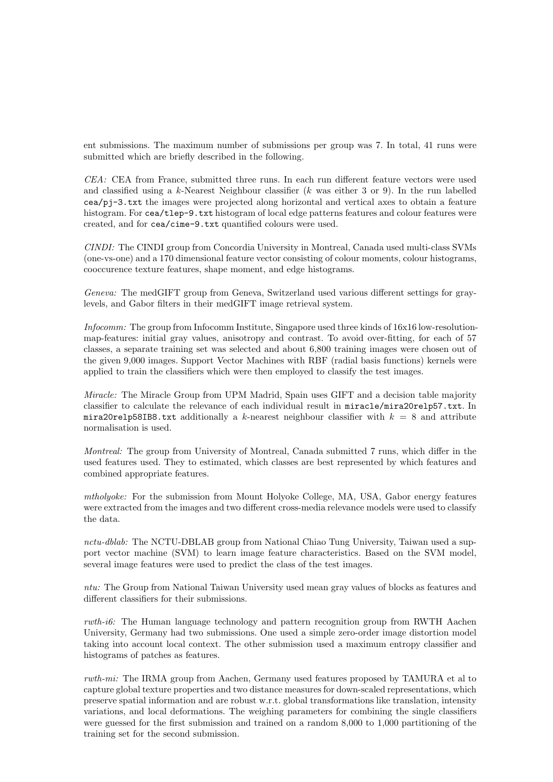ent submissions. The maximum number of submissions per group was 7. In total, 41 runs were submitted which are briefly described in the following.

CEA: CEA from France, submitted three runs. In each run different feature vectors were used and classified using a k-Nearest Neighbour classifier  $(k \text{ was either 3 or 9})$ . In the run labelled cea/pj-3.txt the images were projected along horizontal and vertical axes to obtain a feature histogram. For cea/tlep-9.txt histogram of local edge patterns features and colour features were created, and for cea/cime-9.txt quantified colours were used.

CINDI: The CINDI group from Concordia University in Montreal, Canada used multi-class SVMs (one-vs-one) and a 170 dimensional feature vector consisting of colour moments, colour histograms, cooccurence texture features, shape moment, and edge histograms.

Geneva: The medGIFT group from Geneva, Switzerland used various different settings for graylevels, and Gabor filters in their medGIFT image retrieval system.

Infocomm: The group from Infocomm Institute, Singapore used three kinds of 16x16 low-resolutionmap-features: initial gray values, anisotropy and contrast. To avoid over-fitting, for each of 57 classes, a separate training set was selected and about 6,800 training images were chosen out of the given 9,000 images. Support Vector Machines with RBF (radial basis functions) kernels were applied to train the classifiers which were then employed to classify the test images.

Miracle: The Miracle Group from UPM Madrid, Spain uses GIFT and a decision table majority classifier to calculate the relevance of each individual result in miracle/mira20relp57.txt. In mira20relp58IB8.txt additionally a k-nearest neighbour classifier with  $k = 8$  and attribute normalisation is used.

Montreal: The group from University of Montreal, Canada submitted 7 runs, which differ in the used features used. They to estimated, which classes are best represented by which features and combined appropriate features.

mtholyoke: For the submission from Mount Holyoke College, MA, USA, Gabor energy features were extracted from the images and two different cross-media relevance models were used to classify the data.

nctu-dblab: The NCTU-DBLAB group from National Chiao Tung University, Taiwan used a support vector machine (SVM) to learn image feature characteristics. Based on the SVM model, several image features were used to predict the class of the test images.

ntu: The Group from National Taiwan University used mean gray values of blocks as features and different classifiers for their submissions.

rwth-i6: The Human language technology and pattern recognition group from RWTH Aachen University, Germany had two submissions. One used a simple zero-order image distortion model taking into account local context. The other submission used a maximum entropy classifier and histograms of patches as features.

rwth-mi: The IRMA group from Aachen, Germany used features proposed by TAMURA et al to capture global texture properties and two distance measures for down-scaled representations, which preserve spatial information and are robust w.r.t. global transformations like translation, intensity variations, and local deformations. The weighing parameters for combining the single classifiers were guessed for the first submission and trained on a random 8,000 to 1,000 partitioning of the training set for the second submission.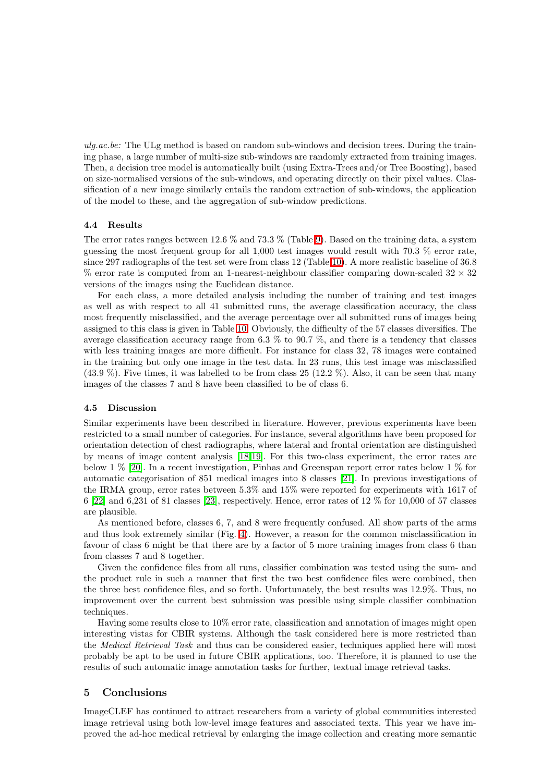ulg.ac.be: The ULg method is based on random sub-windows and decision trees. During the training phase, a large number of multi-size sub-windows are randomly extracted from training images. Then, a decision tree model is automatically built (using Extra-Trees and/or Tree Boosting), based on size-normalised versions of the sub-windows, and operating directly on their pixel values. Classification of a new image similarly entails the random extraction of sub-windows, the application of the model to these, and the aggregation of sub-window predictions.

#### 4.4 Results

The error rates ranges between 12.6 % and 73.3 % (Table [9\)](#page-17-0). Based on the training data, a system guessing the most frequent group for all 1,000 test images would result with 70.3 % error rate, since 297 radiographs of the test set were from class 12 (Table [10\)](#page-18-0). A more realistic baseline of 36.8 % error rate is computed from an 1-nearest-neighbour classifier comparing down-scaled  $32 \times 32$ versions of the images using the Euclidean distance.

For each class, a more detailed analysis including the number of training and test images as well as with respect to all 41 submitted runs, the average classification accuracy, the class most frequently misclassified, and the average percentage over all submitted runs of images being assigned to this class is given in Table [10.](#page-18-0) Obviously, the difficulty of the 57 classes diversifies. The average classification accuracy range from 6.3 % to 90.7 %, and there is a tendency that classes with less training images are more difficult. For instance for class 32, 78 images were contained in the training but only one image in the test data. In 23 runs, this test image was misclassified  $(43.9\%)$ . Five times, it was labelled to be from class 25 (12.2 %). Also, it can be seen that many images of the classes 7 and 8 have been classified to be of class 6.

#### 4.5 Discussion

Similar experiments have been described in literature. However, previous experiments have been restricted to a small number of categories. For instance, several algorithms have been proposed for orientation detection of chest radiographs, where lateral and frontal orientation are distinguished by means of image content analysis [\[18,](#page-20-6)[19\]](#page-20-7). For this two-class experiment, the error rates are below 1 % [\[20\]](#page-20-8). In a recent investigation, Pinhas and Greenspan report error rates below 1 % for automatic categorisation of 851 medical images into 8 classes [\[21\]](#page-20-9). In previous investigations of the IRMA group, error rates between 5.3% and 15% were reported for experiments with 1617 of 6 [\[22\]](#page-20-10) and 6,231 of 81 classes [\[23\]](#page-20-11), respectively. Hence, error rates of 12 % for 10,000 of 57 classes are plausible.

As mentioned before, classes 6, 7, and 8 were frequently confused. All show parts of the arms and thus look extremely similar (Fig. [4\)](#page-13-0). However, a reason for the common misclassification in favour of class 6 might be that there are by a factor of 5 more training images from class 6 than from classes 7 and 8 together.

Given the confidence files from all runs, classifier combination was tested using the sum- and the product rule in such a manner that first the two best confidence files were combined, then the three best confidence files, and so forth. Unfortunately, the best results was 12.9%. Thus, no improvement over the current best submission was possible using simple classifier combination techniques.

Having some results close to 10% error rate, classification and annotation of images might open interesting vistas for CBIR systems. Although the task considered here is more restricted than the Medical Retrieval Task and thus can be considered easier, techniques applied here will most probably be apt to be used in future CBIR applications, too. Therefore, it is planned to use the results of such automatic image annotation tasks for further, textual image retrieval tasks.

## 5 Conclusions

ImageCLEF has continued to attract researchers from a variety of global communities interested image retrieval using both low-level image features and associated texts. This year we have improved the ad-hoc medical retrieval by enlarging the image collection and creating more semantic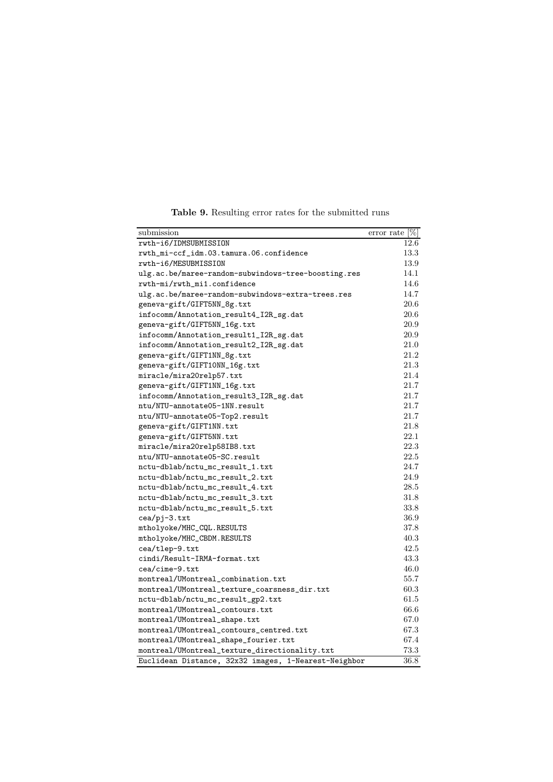<span id="page-17-0"></span>

| submission                                           | $\overline{\text{error rate}}$ [%] |
|------------------------------------------------------|------------------------------------|
| rwth-i6/IDMSUBMISSION                                | 12.6                               |
| rwth_mi-ccf_idm.03.tamura.06.confidence              | 13.3                               |
| rwth-i6/MESUBMISSION                                 | 13.9                               |
| ulg.ac.be/maree-random-subwindows-tree-boosting.res  | 14.1                               |
| rwth-mi/rwth_mi1.confidence                          | 14.6                               |
| ulg.ac.be/maree-random-subwindows-extra-trees.res    | 14.7                               |
| geneva-gift/GIFT5NN_8g.txt                           | 20.6                               |
| infocomm/Annotation_result4_I2R_sg.dat               | 20.6                               |
| geneva-gift/GIFT5NN_16g.txt                          | 20.9                               |
| infocomm/Annotation_result1_I2R_sg.dat               | 20.9                               |
| infocomm/Annotation_result2_I2R_sg.dat               | 21.0                               |
| geneva-gift/GIFT1NN_8g.txt                           | 21.2                               |
| geneva-gift/GIFT10NN_16g.txt                         | 21.3                               |
| miracle/mira20relp57.txt                             | 21.4                               |
| geneva-gift/GIFT1NN_16g.txt                          | 21.7                               |
| infocomm/Annotation_result3_I2R_sg.dat               | 21.7                               |
| ntu/NTU-annotate05-1NN.result                        | 21.7                               |
| ntu/NTU-annotate05-Top2.result                       | 21.7                               |
| geneva-gift/GIFT1NN.txt                              | 21.8                               |
| geneva-gift/GIFT5NN.txt                              | 22.1                               |
| miracle/mira20relp58IB8.txt                          | 22.3                               |
| ntu/NTU-annotate05-SC.result                         | 22.5                               |
| nctu-dblab/nctu_mc_result_1.txt                      | 24.7                               |
| nctu-dblab/nctu_mc_result_2.txt                      | 24.9                               |
| nctu-dblab/nctu_mc_result_4.txt                      | 28.5                               |
| nctu-dblab/nctu_mc_result_3.txt                      | 31.8                               |
| nctu-dblab/nctu_mc_result_5.txt                      | 33.8                               |
| cea/pj-3.txt                                         | 36.9                               |
| mtholyoke/MHC_CQL.RESULTS                            | 37.8                               |
| mtholyoke/MHC_CBDM.RESULTS                           | 40.3                               |
| cea/tlep-9.txt                                       | 42.5                               |
| cindi/Result-IRMA-format.txt                         | 43.3                               |
| cea/cime-9.txt                                       | 46.0                               |
| $\verb montreal/UMontreal_{combination.txt}$         | 55.7                               |
| montreal/UMontreal_texture_coarsness_dir.txt         | 60.3                               |
| nctu-dblab/nctu_mc_result_gp2.txt                    | 61.5                               |
| montreal/UMontreal_contours.txt                      | 66.6                               |
| montreal/UMontreal_shape.txt                         | 67.0                               |
| montreal/UMontreal_contours_centred.txt              | 67.3                               |
| montreal/UMontreal_shape_fourier.txt                 | 67.4                               |
| montreal/UMontreal_texture_directionality.txt        | 73.3                               |
| Euclidean Distance, 32x32 images, 1-Nearest-Neighbor | 36.8                               |

Table 9. Resulting error rates for the submitted runs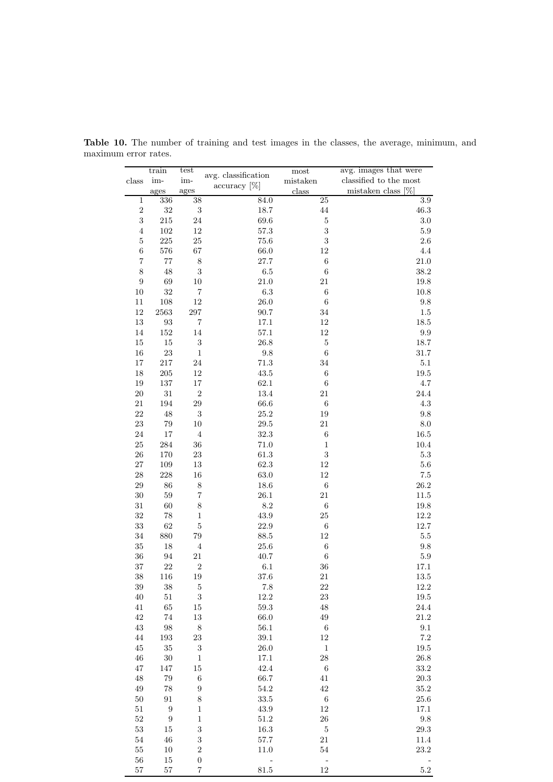|                   | train             | test                    | $\,$ avg. classification          | most             | avg. images that were  |
|-------------------|-------------------|-------------------------|-----------------------------------|------------------|------------------------|
| class             | im-               | im-                     |                                   | mistaken         | classified to the most |
|                   | ages              | ages                    | $\arctan\left(\frac{1}{6}\right)$ | class            | mistaken class $[\%]$  |
| $\mathbf{1}$      | 336               | 38                      | 84.0                              | $25\,$           | $3.9\,$                |
| $\sqrt{2}$        | $32\,$            | $\sqrt{3}$              | $18.7\,$                          | $\bf 44$         | $46.3\,$               |
|                   |                   |                         |                                   |                  |                        |
| $\sqrt{3}$        | $215\,$           | 24                      | 69.6                              | $\bf 5$          | $3.0\,$                |
| $\overline{4}$    | $102\,$           | 12                      | $57.3\,$                          | 3                | $5.9\,$                |
| $\bf 5$           | $225\,$           | 25                      | $75.6\,$                          | 3                | $2.6\,$                |
| $\;6\;$           | $576\,$           | 67                      | 66.0                              | 12               | $4.4\,$                |
| $\scriptstyle{7}$ | $77\,$            | $\,$ $\,$               | $27.7\,$                          | $\,6$            | $21.0\,$               |
| $8\,$             | 48                | $\sqrt{3}$              | $6.5\,$                           | 6                | $38.2\,$               |
|                   |                   |                         |                                   |                  |                        |
| $\boldsymbol{9}$  | 69                | 10                      | $21.0\,$                          | 21               | 19.8                   |
| 10                | $32\,$            | 7                       | $6.3\,$                           | $\,6$            | 10.8                   |
| $11\,$            | $108\,$           | 12                      | $26.0\,$                          | $\boldsymbol{6}$ | $\,9.8$                |
| 12                | $2563\,$          | $\,297$                 | $90.7\,$                          | 34               | $1.5\,$                |
| $13\,$            | $\boldsymbol{93}$ | $\overline{\mathbf{7}}$ | 17.1                              | 12               | 18.5                   |
| 14                | $152\,$           | 14                      | $57.1\,$                          | 12               | $\rm 9.9$              |
|                   |                   |                         |                                   | $\bf 5$          |                        |
| $15\,$            | $15\,$            | $\boldsymbol{3}$        | $26.8\,$                          |                  | 18.7                   |
| $16\,$            | $23\,$            | $\mathbf{1}$            | $\,9.8$                           | $\,6$            | $31.7\,$               |
| $17\,$            | $217\,$           | 24                      | $71.3\,$                          | 34               | $5.1\,$                |
| $18\,$            | 205               | 12                      | 43.5                              | $\,6$            | $19.5\,$               |
| $19\,$            | 137               | 17                      | $62.1\,$                          | $\boldsymbol{6}$ | $4.7\,$                |
| $20\,$            | $31\,$            | $\sqrt{2}$              | $13.4\,$                          | 21               | $24.4\,$               |
| 21                | 194               | $\,29$                  | 66.6                              | $\,6\,$          | $4.3\,$                |
|                   |                   |                         |                                   |                  |                        |
| $22\,$            | 48                | $\sqrt{3}$              | $25.2\,$                          | 19               | $\ \, 9.8$             |
| 23                | $79\,$            | 10                      | $29.5\,$                          | 21               | $8.0\,$                |
| 24                | $17\,$            | $\,4\,$                 | $32.3\,$                          | $\,6$            | $16.5\,$               |
| $25\,$            | 284               | 36                      | 71.0                              | $\mathbf{1}$     | $10.4\,$               |
| $26\,$            | 170               | $23\,$                  | $61.3\,$                          | $\sqrt{3}$       | $5.3\,$                |
| $27\,$            | 109               | 13                      | 62.3                              | 12               | $5.6\,$                |
|                   |                   |                         |                                   |                  |                        |
| $\rm 28$          | $228\,$           | 16                      | $63.0\,$                          | 12               | $7.5\,$                |
| $\,29$            | 86                | $\,$ $\,$               | $18.6\,$                          | $\,6$            | $26.2\,$               |
| $30\,$            | $59\,$            | 7                       | $26.1\,$                          | 21               | $11.5\,$               |
| 31                | 60                | 8                       | $8.2\,$                           | $\boldsymbol{6}$ | $19.8\,$               |
| 32                | $78\,$            | $\mathbf{1}$            | 43.9                              | $25\,$           | $12.2\,$               |
| $33\,$            | 62                | $\overline{5}$          | 22.9                              | $\,6$            | 12.7                   |
| $34\,$            | 880               | 79                      | $88.5\,$                          | 12               | $5.5\,$                |
|                   |                   |                         |                                   |                  |                        |
| $35\,$            | 18                | $\,4\,$                 | $25.6\,$                          | $\,6$            | $\,9.8$                |
| $36\,$            | 94                | $21\,$                  | 40.7                              | $\,6$            | $5.9\,$                |
| 37                | $22\,$            | $\sqrt{2}$              | 6.1                               | 36               | 17.1                   |
| 38                | 116               | 19                      | 37.6                              | 21               | 13.5                   |
| 39                | 38                | $\bf 5$                 | 7.8                               | 22               | $12.2\,$               |
| $40\,$            | $51\,$            | $\sqrt{3}$              | $12.2\,$                          | 23               | $19.5\,$               |
| $41\,$            | $65\,$            | 15                      | 59.3                              | 48               | $24.4\,$               |
|                   |                   |                         |                                   |                  |                        |
| $42\,$            | $74\,$            | $13\,$                  | 66.0                              | 49               | $21.2\,$               |
| $43\,$            | $98\,$            | $8\,$                   | $56.1\,$                          | -6               | $9.1\,$                |
| $44\,$            | 193               | $\bf 23$                | $39.1\,$                          | 12               | $7.2\,$                |
| 45                | $35\,$            | $\sqrt{3}$              | 26.0                              | $\mathbf{1}$     | 19.5                   |
| $\sqrt{46}$       | $30\,$            | $\mathbf{1}$            | 17.1                              | $28\,$           | $26.8\,$               |
| $47\,$            | 147               | $15\,$                  | 42.4                              | 6                | $33.2\,$               |
| 48                | 79                | $\,6$                   | 66.7                              | 41               | $20.3\,$               |
|                   |                   |                         |                                   |                  |                        |
| 49                | $78\,$            | 9                       | 54.2                              | 42               | $35.2\,$               |
| $50\,$            | $\rm 91$          | $\,8\,$                 | $33.5\,$                          | -6               | $25.6\,$               |
| $51\,$            | - 9               | $\mathbf{1}$            | 43.9                              | 12               | 17.1                   |
| $52\,$            | 9                 | $\,1\,$                 | $51.2\,$                          | $26\,$           | $\,9.8$                |
| $53\,$            | $15\,$            | $\sqrt{3}$              | $16.3\,$                          | $5\phantom{.0}$  | 29.3                   |
| $54\,$            | $\sqrt{46}$       | $\sqrt{3}$              | $57.7\,$                          | 21               | $11.4\,$               |
| $55\,$            | $10\,$            | $\,2$                   | 11.0                              | 54               | 23.2                   |
|                   |                   |                         |                                   |                  |                        |
| $56\,$            | 15                | $\boldsymbol{0}$        |                                   | $\blacksquare$   |                        |
| $57\,$            | $57\,$            | 7                       | $81.5\,$                          | 12               | $5.2\,$                |

<span id="page-18-0"></span>Table 10. The number of training and test images in the classes, the average, minimum, and maximum error rates.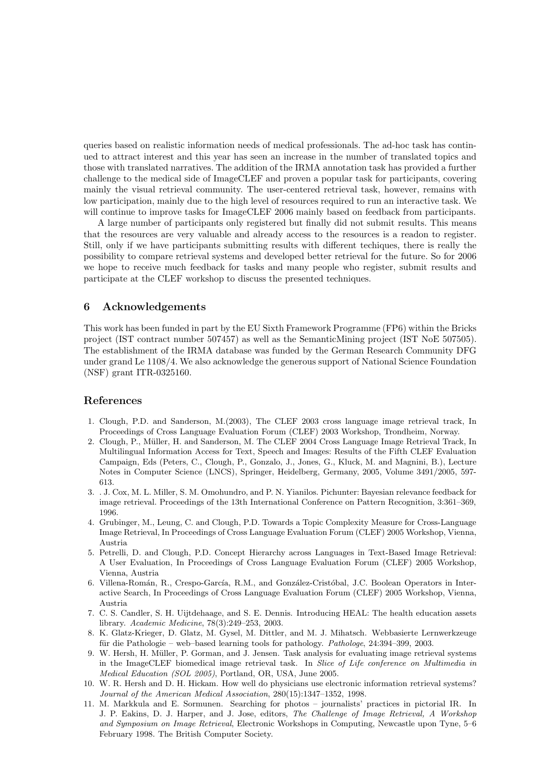queries based on realistic information needs of medical professionals. The ad-hoc task has continued to attract interest and this year has seen an increase in the number of translated topics and those with translated narratives. The addition of the IRMA annotation task has provided a further challenge to the medical side of ImageCLEF and proven a popular task for participants, covering mainly the visual retrieval community. The user-centered retrieval task, however, remains with low participation, mainly due to the high level of resources required to run an interactive task. We will continue to improve tasks for ImageCLEF 2006 mainly based on feedback from participants.

A large number of participants only registered but finally did not submit results. This means that the resources are very valuable and already access to the resources is a readon to register. Still, only if we have participants submitting results with different techiques, there is really the possibility to compare retrieval systems and developed better retrieval for the future. So for 2006 we hope to receive much feedback for tasks and many people who register, submit results and participate at the CLEF workshop to discuss the presented techniques.

### 6 Acknowledgements

This work has been funded in part by the EU Sixth Framework Programme (FP6) within the Bricks project (IST contract number 507457) as well as the SemanticMining project (IST NoE 507505). The establishment of the IRMA database was funded by the German Research Community DFG under grand Le 1108/4. We also acknowledge the generous support of National Science Foundation (NSF) grant ITR-0325160.

## <span id="page-19-0"></span>References

- 1. Clough, P.D. and Sanderson, M.(2003), The CLEF 2003 cross language image retrieval track, In Proceedings of Cross Language Evaluation Forum (CLEF) 2003 Workshop, Trondheim, Norway.
- <span id="page-19-1"></span>2. Clough, P., Müller, H. and Sanderson, M. The CLEF 2004 Cross Language Image Retrieval Track, In Multilingual Information Access for Text, Speech and Images: Results of the Fifth CLEF Evaluation Campaign, Eds (Peters, C., Clough, P., Gonzalo, J., Jones, G., Kluck, M. and Magnini, B.), Lecture Notes in Computer Science (LNCS), Springer, Heidelberg, Germany, 2005, Volume 3491/2005, 597- 613.
- 3. . J. Cox, M. L. Miller, S. M. Omohundro, and P. N. Yianilos. Pichunter: Bayesian relevance feedback for image retrieval. Proceedings of the 13th International Conference on Pattern Recognition, 3:361–369, 1996.
- <span id="page-19-2"></span>4. Grubinger, M., Leung, C. and Clough, P.D. Towards a Topic Complexity Measure for Cross-Language Image Retrieval, In Proceedings of Cross Language Evaluation Forum (CLEF) 2005 Workshop, Vienna, Austria
- 5. Petrelli, D. and Clough, P.D. Concept Hierarchy across Languages in Text-Based Image Retrieval: A User Evaluation, In Proceedings of Cross Language Evaluation Forum (CLEF) 2005 Workshop, Vienna, Austria
- 6. Villena-Román, R., Crespo-García, R.M., and González-Cristóbal, J.C. Boolean Operators in Interactive Search, In Proceedings of Cross Language Evaluation Forum (CLEF) 2005 Workshop, Vienna, Austria
- <span id="page-19-6"></span>7. C. S. Candler, S. H. Uijtdehaage, and S. E. Dennis. Introducing HEAL: The health education assets library. Academic Medicine, 78(3):249–253, 2003.
- <span id="page-19-7"></span>8. K. Glatz-Krieger, D. Glatz, M. Gysel, M. Dittler, and M. J. Mihatsch. Webbasierte Lernwerkzeuge für die Pathologie – web–based learning tools for pathology. Pathologe, 24:394–399, 2003.
- <span id="page-19-5"></span>9. W. Hersh, H. Müller, P. Gorman, and J. Jensen. Task analysis for evaluating image retrieval systems in the ImageCLEF biomedical image retrieval task. In Slice of Life conference on Multimedia in Medical Education (SOL 2005), Portland, OR, USA, June 2005.
- <span id="page-19-3"></span>10. W. R. Hersh and D. H. Hickam. How well do physicians use electronic information retrieval systems? Journal of the American Medical Association, 280(15):1347–1352, 1998.
- <span id="page-19-4"></span>11. M. Markkula and E. Sormunen. Searching for photos – journalists' practices in pictorial IR. In J. P. Eakins, D. J. Harper, and J. Jose, editors, The Challenge of Image Retrieval, A Workshop and Symposium on Image Retrieval, Electronic Workshops in Computing, Newcastle upon Tyne, 5–6 February 1998. The British Computer Society.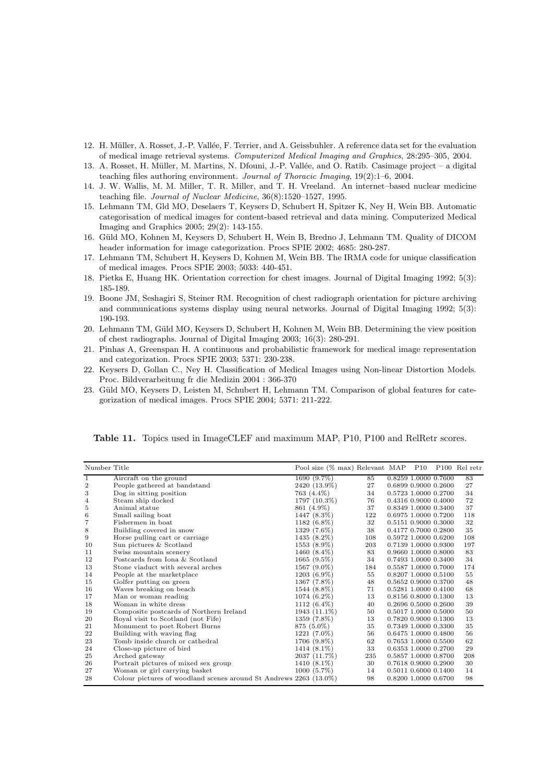- <span id="page-20-2"></span><span id="page-20-1"></span>12. H. Müller, A. Rosset, J.-P. Vallée, F. Terrier, and A. Geissbuhler. A reference data set for the evaluation of medical image retrieval systems. Computerized Medical Imaging and Graphics, 28:295–305, 2004.
- 13. A. Rosset, H. Müller, M. Martins, N. Dfouni, J.-P. Vallée, and O. Ratib. Casimage project a digital teaching files authoring environment. Journal of Thoracic Imaging, 19(2):1–6, 2004.
- <span id="page-20-3"></span>14. J. W. Wallis, M. M. Miller, T. R. Miller, and T. H. Vreeland. An internet–based nuclear medicine teaching file. Journal of Nuclear Medicine, 36(8):1520–1527, 1995.
- <span id="page-20-4"></span>15. Lehmann TM, Gld MO, Deselaers T, Keysers D, Schubert H, Spitzer K, Ney H, Wein BB. Automatic categorisation of medical images for content-based retrieval and data mining. Computerized Medical Imaging and Graphics 2005; 29(2): 143-155.
- <span id="page-20-5"></span>16. Güld MO, Kohnen M, Keysers D, Schubert H, Wein B, Bredno J, Lehmann TM. Quality of DICOM header information for image categorization. Procs SPIE 2002; 4685: 280-287.
- 17. Lehmann TM, Schubert H, Keysers D, Kohnen M, Wein BB. The IRMA code for unique classification of medical images. Procs SPIE 2003; 5033: 440-451.
- <span id="page-20-7"></span><span id="page-20-6"></span>18. Pietka E, Huang HK. Orientation correction for chest images. Journal of Digital Imaging 1992; 5(3): 185-189.
- 19. Boone JM, Seshagiri S, Steiner RM. Recognition of chest radiograph orientation for picture archiving and communications systems display using neural networks. Journal of Digital Imaging 1992; 5(3): 190-193.
- <span id="page-20-8"></span>20. Lehmann TM, Güld MO, Keysers D, Schubert H, Kohnen M, Wein BB. Determining the view position of chest radiographs. Journal of Digital Imaging 2003; 16(3): 280-291.
- <span id="page-20-9"></span>21. Pinhas A, Greenspan H. A continuous and probabilistic framework for medical image representation and categorization. Procs SPIE 2003; 5371: 230-238.
- <span id="page-20-10"></span>22. Keysers D, Gollan C., Ney H. Classification of Medical Images using Non-linear Distortion Models. Proc. Bildverarbeitung fr die Medizin 2004 : 366-370
- <span id="page-20-11"></span>23. Güld MO, Keysers D, Leisten M, Schubert H, Lehmann TM. Comparison of global features for categorization of medical images. Procs SPIE 2004; 5371: 211-222.

| Number Title   |                                                                     | Pool size (% max) Relevant MAP |     | P10 |                      | P <sub>100</sub> Rel retr |
|----------------|---------------------------------------------------------------------|--------------------------------|-----|-----|----------------------|---------------------------|
| 1              | Aircraft on the ground                                              | 1690 (9.7%)                    | 85  |     | 0.8259 1.0000 0.7600 | 83                        |
| $\overline{2}$ | People gathered at bandstand                                        | 2420 (13.9%)                   | 27  |     | 0.6899 0.9000 0.2600 | 27                        |
| 3              | Dog in sitting position                                             | 763 (4.4%)                     | 34  |     | 0.5723 1.0000 0.2700 | 34                        |
| 4              | Steam ship docked                                                   | 1797 (10.3%)                   | 76  |     | 0.4316 0.9000 0.4000 | 72                        |
| 5              | Animal statue                                                       | 861 (4.9%)                     | 37  |     | 0.8349 1.0000 0.3400 | 37                        |
| 6              | Small sailing boat                                                  | 1447 (8.3%)                    | 122 |     | 0.6975 1.0000 0.7200 | 118                       |
| 7              | Fishermen in boat                                                   | 1182 (6.8%)                    | 32  |     | 0.5151 0.9000 0.3000 | 32                        |
| 8              | Building covered in snow                                            | 1329 (7.6%)                    | 38  |     | 0.4177 0.7000 0.2800 | 35                        |
| 9              | Horse pulling cart or carriage                                      | 1435 (8.2%)                    | 108 |     | 0.5972 1.0000 0.6200 | 108                       |
| 10             | Sun pictures & Scotland                                             | 1553 (8.9%)                    | 203 |     | 0.7139 1.0000 0.9300 | 197                       |
| 11             | Swiss mountain scenery                                              | 1460 (8.4%)                    | 83  |     | 0.9660 1.0000 0.8000 | 83                        |
| 12             | Postcards from Iona & Scotland                                      | $1665(9.5\%)$                  | 34  |     | 0.7493 1.0000 0.3400 | 34                        |
| 13             | Stone viaduct with several arches                                   | 1567 (9.0%)                    | 184 |     | 0.5587 1.0000 0.7000 | 174                       |
| 14             | People at the marketplace                                           | $1203(6.9\%)$                  | 55  |     | 0.8207 1.0000 0.5100 | 55                        |
| 15             | Golfer putting on green                                             | 1367 (7.8%)                    | 48  |     | 0.5652 0.9000 0.3700 | 48                        |
| 16             | Waves breaking on beach                                             | 1544 (8.8%)                    | 71  |     | 0.5281 1.0000 0.4100 | 68                        |
| 17             | Man or woman reading                                                | 1074 (6.2%)                    | 13  |     | 0.8156 0.8000 0.1300 | 13                        |
| 18             | Woman in white dress                                                | 1112 $(6.4\%)$                 | 40  |     | 0.2696 0.5000 0.2600 | 39                        |
| 19             | Composite postcards of Northern Ireland                             | $1943(11.1\%)$                 | 50  |     | 0.5017 1.0000 0.5000 | 50                        |
| 20             | Royal visit to Scotland (not Fife)                                  | 1359 (7.8%)                    | 13  |     | 0.7820 0.9000 0.1300 | 13                        |
| 21             | Monument to poet Robert Burns                                       | 875 (5.0%)                     | 35  |     | 0.7349 1.0000 0.3300 | 35                        |
| 22             | Building with waving flag                                           | 1221 (7.0%)                    | 56  |     | 0.6475 1.0000 0.4800 | 56                        |
| 23             | Tomb inside church or cathedral                                     | 1706 (9.8%)                    | 62  |     | 0.7653 1.0000 0.5500 | 62                        |
| 24             | Close-up picture of bird                                            | 1414 (8.1%)                    | 33  |     | 0.6353 1.0000 0.2700 | 29                        |
| 25             | Arched gateway                                                      | 2037 (11.7%)                   | 235 |     | 0.5857 1.0000 0.8700 | 208                       |
| 26             | Portrait pictures of mixed sex group                                | 1410 (8.1%)                    | 30  |     | 0.7618 0.9000 0.2900 | 30                        |
| 27             | Woman or girl carrying basket                                       | $1000(5.7\%)$                  | 14  |     | 0.5011 0.6000 0.1400 | 14                        |
| 28             | Colour pictures of woodland scenes around St Andrews $2263$ (13.0%) |                                | 98  |     | 0.8200 1.0000 0.6700 | 98                        |

<span id="page-20-0"></span>Table 11. Topics used in ImageCLEF and maximum MAP, P10, P100 and RelRetr scores.